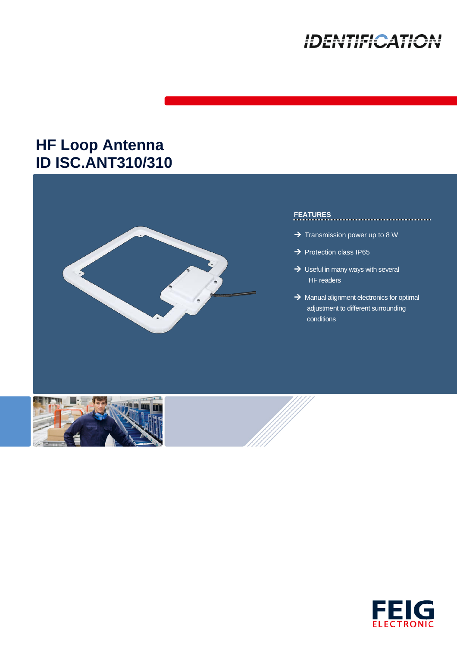# **IDENTIFICATION**

## **HF Loop Antenna ID ISC.ANT310/310**



### **FEATURES**

- $\rightarrow$  Transmission power up to 8 W
- $\rightarrow$  Protection class IP65
- $\rightarrow$  Useful in many ways with several HF readers
- $\rightarrow$  Manual alignment electronics for optimal adjustment to different surrounding conditions